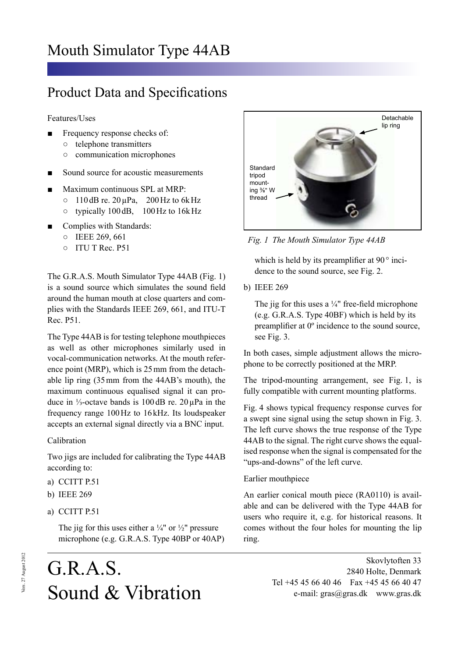## Product Data and Specifications

Features/Uses

- Frequency response checks of:
	- telephone transmitters
	- communication microphones
- Sound source for acoustic measurements
- Maximum continuous SPL at MRP:
	- $\circ$  110dB re. 20 $\mu$ Pa, 200Hz to 6kHz
	- typically 100 dB, 100Hz to 16kHz
- Complies with Standards:
	- IEEE 269, 661
	- ITU T Rec. P51

The G.R.A.S. Mouth Simulator Type 44AB (Fig. 1) is a sound source which simulates the sound field around the human mouth at close quarters and complies with the Standards IEEE 269, 661, and ITU-T Rec. P51.

The Type 44AB is for testing telephone mouthpieces as well as other microphones similarly used in vocal-communication networks. At the mouth reference point (MRP), which is 25mm from the detachable lip ring (35mm from the 44AB's mouth), the maximum continuous equalised signal it can produce in ⅓-octave bands is  $100 \text{ dB}$  re.  $20 \mu \text{Pa}$  in the frequency range 100Hz to 16 kHz. Its loudspeaker accepts an external signal directly via a BNC input.

#### Calibration

Two jigs are included for calibrating the Type 44AB according to:

- a) CCITT P.51
- b) IEEE 269
- a) CCITT P.51

The jig for this uses either a  $\frac{1}{4}$ " or  $\frac{1}{2}$ " pressure microphone (e.g. G.R.A.S. Type 40BP or 40AP)

# G.R.A.S. Sound & Vibration



 *Fig. 1 The Mouth Simulator Type 44AB*

which is held by its preamplifier at 90 $\degree$  incidence to the sound source, see Fig. 2.

b) IEEE 269

The jig for this uses a  $\frac{1}{4}$ " free-field microphone (e.g. G.R.A.S. Type 40BF) which is held by its preamplifier at 0º incidence to the sound source, see Fig. 3.

In both cases, simple adjustment allows the microphone to be correctly positioned at the MRP.

The tripod-mounting arrangement, see Fig. 1, is fully compatible with current mounting platforms.

Fig. 4 shows typical frequency response curves for a swept sine signal using the setup shown in Fig. 3. The left curve shows the true response of the Type 44AB to the signal. The right curve shows the equalised response when the signal is compensated for the "ups-and-downs" of the left curve.

### Earlier mouthpiece

An earlier conical mouth piece (RA0110) is available and can be delivered with the Type 44AB for users who require it, e.g. for historical reasons. It comes without the four holes for mounting the lip ring.

> Skovlytoften 33 2840 Holte, Denmark Tel +45 45 66 40 46 Fax +45 45 66 40 47 e-mail: gras@gras.dk www.gras.dk